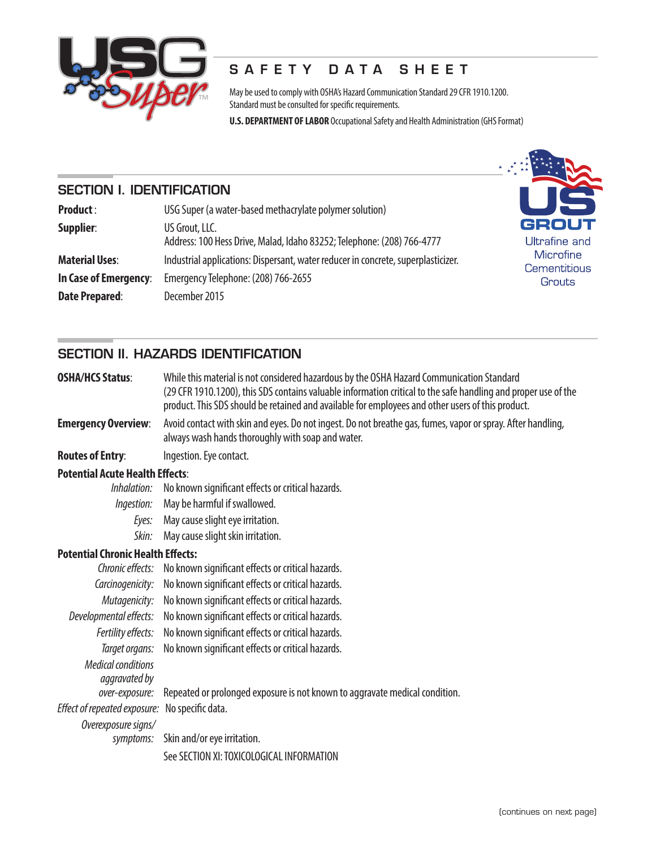

## SAFETY DATA SHEET

May be used to comply with OSHA's Hazard Communication Standard 29 CFR 1910.1200. Standard must be consulted for specific requirements.

**U.S. DEPARTMENT OF LABOR** Occupational Safety and Health Administration (GHS Format)

## SECTION I. IDENTIFICATION

| <b>Product:</b>       | <b>Post</b><br>USG Super (a water-based methacrylate polymer solution)                   |                               |  |  |
|-----------------------|------------------------------------------------------------------------------------------|-------------------------------|--|--|
| Supplier:             | US Grout, LLC.<br>Address: 100 Hess Drive, Malad, Idaho 83252; Telephone: (208) 766-4777 | <b>GROUT</b><br>Ultrafine and |  |  |
| <b>Material Uses:</b> | Industrial applications: Dispersant, water reducer in concrete, superplasticizer.        | Microfine<br>Cementitious     |  |  |
| In Case of Emergency: | Emergency Telephone: (208) 766-2655                                                      | Grouts                        |  |  |
| <b>Date Prepared:</b> | December 2015                                                                            |                               |  |  |

## SECTION II. HAZARDS IDENTIFICATION

| <b>OSHA/HCS Status:</b>                        | While this material is not considered hazardous by the OSHA Hazard Communication Standard<br>(29 CFR 1910.1200), this SDS contains valuable information critical to the safe handling and proper use of the<br>product. This SDS should be retained and available for employees and other users of this product. |  |  |  |
|------------------------------------------------|------------------------------------------------------------------------------------------------------------------------------------------------------------------------------------------------------------------------------------------------------------------------------------------------------------------|--|--|--|
| <b>Emergency Overview:</b>                     | Avoid contact with skin and eyes. Do not ingest. Do not breathe gas, fumes, vapor or spray. After handling,<br>always wash hands thoroughly with soap and water.                                                                                                                                                 |  |  |  |
| <b>Routes of Entry:</b>                        | Ingestion. Eye contact.                                                                                                                                                                                                                                                                                          |  |  |  |
| <b>Potential Acute Health Effects:</b>         |                                                                                                                                                                                                                                                                                                                  |  |  |  |
| Inhalation:                                    | No known significant effects or critical hazards.                                                                                                                                                                                                                                                                |  |  |  |
| Ingestion:                                     | May be harmful if swallowed.                                                                                                                                                                                                                                                                                     |  |  |  |
| Eyes:                                          | May cause slight eye irritation.                                                                                                                                                                                                                                                                                 |  |  |  |
| Skin:                                          | May cause slight skin irritation.                                                                                                                                                                                                                                                                                |  |  |  |
| <b>Potential Chronic Health Effects:</b>       |                                                                                                                                                                                                                                                                                                                  |  |  |  |
|                                                | Chronic effects: No known significant effects or critical hazards.                                                                                                                                                                                                                                               |  |  |  |
|                                                | Carcinogenicity: No known significant effects or critical hazards.                                                                                                                                                                                                                                               |  |  |  |
|                                                | <i>Mutagenicity:</i> No known significant effects or critical hazards.                                                                                                                                                                                                                                           |  |  |  |
|                                                | Developmental effects: No known significant effects or critical hazards.                                                                                                                                                                                                                                         |  |  |  |
|                                                | Fertility effects: No known significant effects or critical hazards.                                                                                                                                                                                                                                             |  |  |  |
|                                                | Target organs: No known significant effects or critical hazards.                                                                                                                                                                                                                                                 |  |  |  |
| <b>Medical conditions</b><br>aggravated by     |                                                                                                                                                                                                                                                                                                                  |  |  |  |
| over-exposure:                                 | Repeated or prolonged exposure is not known to aggravate medical condition.                                                                                                                                                                                                                                      |  |  |  |
| Effect of repeated exposure: No specific data. |                                                                                                                                                                                                                                                                                                                  |  |  |  |

 *Overexposure signs/*

 *symptoms:* Skin and/or eye irritation. See SECTION XI: TOXICOLOGICAL INFORMATION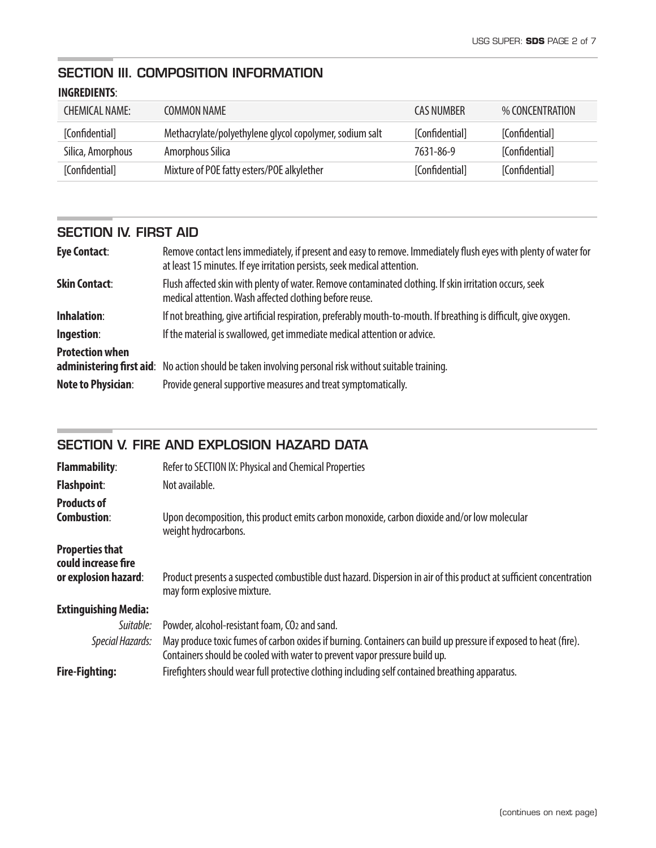# SECTION III. COMPOSITION INFORMATION

## **INGREDIENTS**:

ċ

| CHEMICAL NAME     | COMMON NAMF                                             | CAS NUMBER     | % CONCENTRATION |
|-------------------|---------------------------------------------------------|----------------|-----------------|
| [Confidential]    | Methacrylate/polyethylene glycol copolymer, sodium salt | [Confidential] | [Confidential]  |
| Silica, Amorphous | Amorphous Silica                                        | 7631-86-9      | [Confidential]  |
| [Confidential]    | Mixture of POE fatty esters/POE alkylether              | [Confidential] | [Confidential]  |

## SECTION IV. FIRST AID

| <b>Eye Contact:</b>       | Remove contact lens immediately, if present and easy to remove. Immediately flush eyes with plenty of water for<br>at least 15 minutes. If eye irritation persists, seek medical attention. |
|---------------------------|---------------------------------------------------------------------------------------------------------------------------------------------------------------------------------------------|
| <b>Skin Contact:</b>      | Flush affected skin with plenty of water. Remove contaminated clothing. If skin irritation occurs, seek<br>medical attention. Wash affected clothing before reuse.                          |
| <b>Inhalation:</b>        | If not breathing, give artificial respiration, preferably mouth-to-mouth. If breathing is difficult, give oxygen.                                                                           |
| Ingestion:                | If the material is swallowed, get immediate medical attention or advice.                                                                                                                    |
| <b>Protection when</b>    | administering first aid: No action should be taken involving personal risk without suitable training.                                                                                       |
| <b>Note to Physician:</b> | Provide general supportive measures and treat symptomatically.                                                                                                                              |

## SECTION V. FIRE AND EXPLOSION HAZARD DATA

| <b>Flammability:</b>                                                  | Refer to SECTION IX: Physical and Chemical Properties                                                                                                                                          |  |  |
|-----------------------------------------------------------------------|------------------------------------------------------------------------------------------------------------------------------------------------------------------------------------------------|--|--|
| <b>Flashpoint:</b>                                                    | Not available.                                                                                                                                                                                 |  |  |
| <b>Products of</b><br><b>Combustion:</b>                              | Upon decomposition, this product emits carbon monoxide, carbon dioxide and/or low molecular<br>weight hydrocarbons.                                                                            |  |  |
| <b>Properties that</b><br>could increase fire<br>or explosion hazard: | Product presents a suspected combustible dust hazard. Dispersion in air of this product at sufficient concentration<br>may form explosive mixture.                                             |  |  |
| <b>Extinguishing Media:</b>                                           |                                                                                                                                                                                                |  |  |
| Suitable:                                                             | Powder, alcohol-resistant foam, CO2 and sand.                                                                                                                                                  |  |  |
| Special Hazards:                                                      | May produce toxic fumes of carbon oxides if burning. Containers can build up pressure if exposed to heat (fire).<br>Containers should be cooled with water to prevent vapor pressure build up. |  |  |
| <b>Fire-Fighting:</b>                                                 | Firefighters should wear full protective clothing including self contained breathing apparatus.                                                                                                |  |  |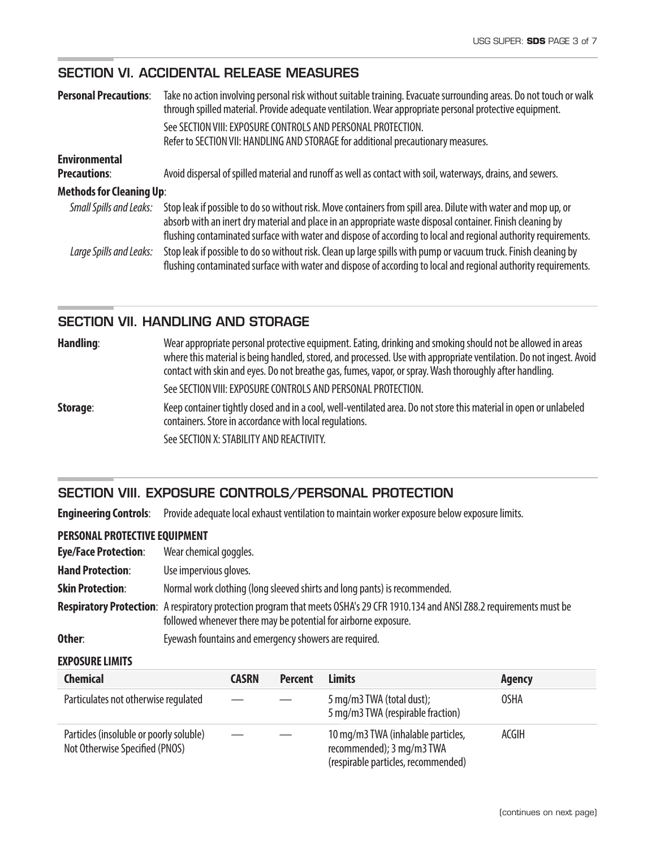## SECTION VI. ACCIDENTAL RELEASE MEASURES

| <b>Personal Precautions:</b>                | Take no action involving personal risk without suitable training. Evacuate surrounding areas. Do not touch or walk<br>through spilled material. Provide adequate ventilation. Wear appropriate personal protective equipment.                                                                                                                   |  |  |
|---------------------------------------------|-------------------------------------------------------------------------------------------------------------------------------------------------------------------------------------------------------------------------------------------------------------------------------------------------------------------------------------------------|--|--|
|                                             | See SECTION VIII: EXPOSURE CONTROLS AND PERSONAL PROTECTION.<br>Refer to SECTION VII: HANDLING AND STORAGE for additional precautionary measures.                                                                                                                                                                                               |  |  |
| <b>Environmental</b><br><b>Precautions:</b> | Avoid dispersal of spilled material and runoff as well as contact with soil, waterways, drains, and sewers.                                                                                                                                                                                                                                     |  |  |
| <b>Methods for Cleaning Up:</b>             |                                                                                                                                                                                                                                                                                                                                                 |  |  |
| Small Spills and Leaks:                     | Stop leak if possible to do so without risk. Move containers from spill area. Dilute with water and mop up, or<br>absorb with an inert dry material and place in an appropriate waste disposal container. Finish cleaning by<br>flushing contaminated surface with water and dispose of according to local and regional authority requirements. |  |  |
| Large Spills and Leaks:                     | Stop leak if possible to do so without risk. Clean up large spills with pump or vacuum truck. Finish cleaning by<br>flushing contaminated surface with water and dispose of according to local and regional authority requirements.                                                                                                             |  |  |

#### SECTION VII. HANDLING AND STORAGE

| Handling: | Wear appropriate personal protective equipment. Eating, drinking and smoking should not be allowed in areas<br>where this material is being handled, stored, and processed. Use with appropriate ventilation. Do not ingest. Avoid<br>contact with skin and eyes. Do not breathe gas, fumes, vapor, or spray. Wash thoroughly after handling. |
|-----------|-----------------------------------------------------------------------------------------------------------------------------------------------------------------------------------------------------------------------------------------------------------------------------------------------------------------------------------------------|
|           | See SECTION VIII: EXPOSURE CONTROLS AND PERSONAL PROTECTION.                                                                                                                                                                                                                                                                                  |
| Storage:  | Keep container tightly closed and in a cool, well-ventilated area. Do not store this material in open or unlabeled<br>containers. Store in accordance with local regulations.                                                                                                                                                                 |
|           | See SECTION X: STABILITY AND REACTIVITY.                                                                                                                                                                                                                                                                                                      |

## SECTION VIII. EXPOSURE CONTROLS/PERSONAL PROTECTION

**Engineering Controls**: Provide adequate local exhaust ventilation to maintain worker exposure below exposure limits.

#### **PERSONAL PROTECTIVE EQUIPMENT**

| <b>Eye/Face Protection:</b> | Wear chemical goggles.                                                                                                                                                                            |
|-----------------------------|---------------------------------------------------------------------------------------------------------------------------------------------------------------------------------------------------|
| <b>Hand Protection:</b>     | Use impervious gloves.                                                                                                                                                                            |
| <b>Skin Protection:</b>     | Normal work clothing (long sleeved shirts and long pants) is recommended.                                                                                                                         |
|                             | Respiratory Protection: A respiratory protection program that meets OSHA's 29 CFR 1910.134 and ANSI Z88.2 requirements must be<br>followed whenever there may be potential for airborne exposure. |
| Other:                      | Eyewash fountains and emergency showers are required.                                                                                                                                             |

#### **EXPOSURE LIMITS**

| <b>Chemical</b>                                                           | <b>CASRN</b> | <b>Percent</b> | Limits                                                                                                 | Agency |
|---------------------------------------------------------------------------|--------------|----------------|--------------------------------------------------------------------------------------------------------|--------|
| Particulates not otherwise regulated                                      |              |                | 5 mg/m3 TWA (total dust);<br>5 mg/m3 TWA (respirable fraction)                                         | OSHA   |
| Particles (insoluble or poorly soluble)<br>Not Otherwise Specified (PNOS) |              |                | 10 mg/m3 TWA (inhalable particles,<br>recommended); 3 mg/m3 TWA<br>(respirable particles, recommended) | ACGIH  |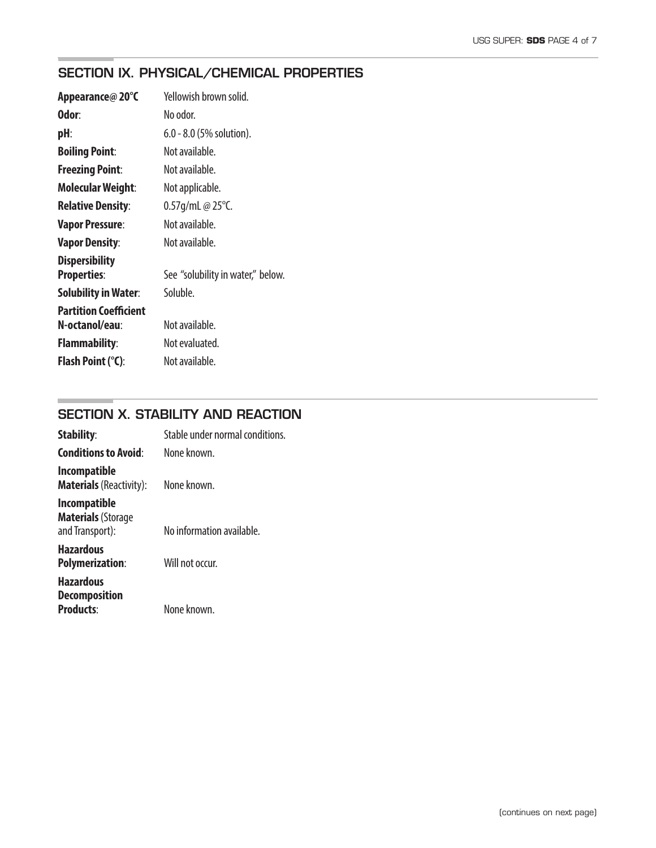## SECTION IX. PHYSICAL/CHEMICAL PROPERTIES

| Appearance@20°C                             | Yellowish brown solid.            |
|---------------------------------------------|-----------------------------------|
| Odor:                                       | No odor.                          |
| pH:                                         | $6.0 - 8.0$ (5% solution).        |
| <b>Boiling Point:</b>                       | Not available.                    |
| <b>Freezing Point:</b>                      | Not available.                    |
| <b>Molecular Weight:</b>                    | Not applicable.                   |
| <b>Relative Density:</b>                    | 0.57g/mL @ $25^{\circ}$ C.        |
| <b>Vapor Pressure:</b>                      | Not available.                    |
| <b>Vapor Density:</b>                       | Not available.                    |
| <b>Dispersibility</b><br><b>Properties:</b> | See "solubility in water," below. |
| <b>Solubility in Water:</b>                 | Soluble.                          |
| <b>Partition Coefficient</b>                |                                   |
| N-octanol/eau:                              | Not available.                    |
| <b>Flammability:</b>                        | Not evaluated.                    |
| <b>Flash Point (°C):</b>                    | Not available.                    |

## SECTION X. STABILITY AND REACTION

| <b>Stability:</b>                                                   | Stable under normal conditions. |
|---------------------------------------------------------------------|---------------------------------|
| <b>Conditions to Avoid:</b>                                         | None known.                     |
| <b>Incompatible</b><br><b>Materials</b> (Reactivity):               | None known.                     |
| <b>Incompatible</b><br><b>Materials (Storage</b><br>and Transport): | No information available.       |
| <b>Hazardous</b><br><b>Polymerization:</b>                          | Will not occur.                 |
| <b>Hazardous</b><br><b>Decomposition</b><br><b>Products:</b>        | None known.                     |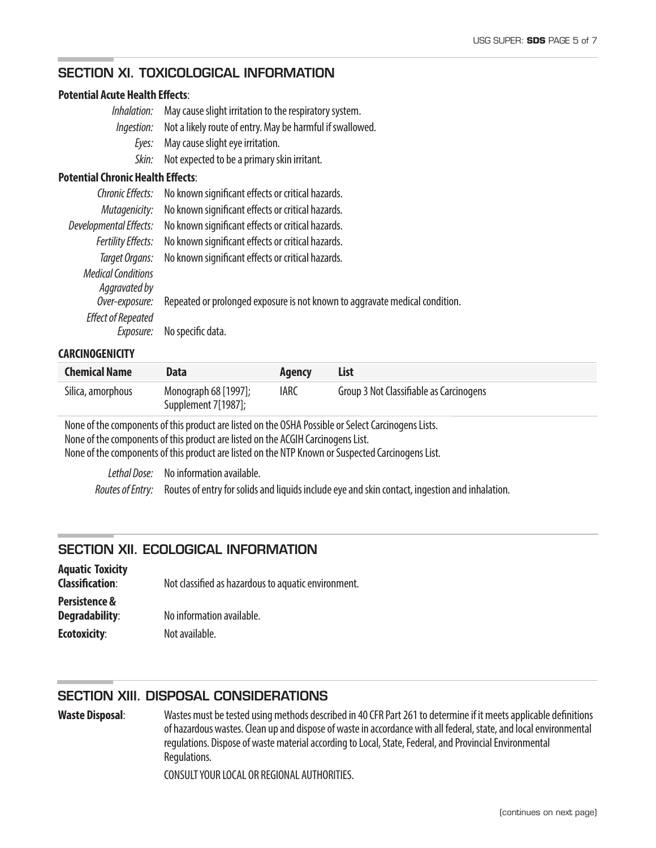#### SECTION XI. TOXICOLOGICAL INFORMATION

#### **Potential Acute Health Effects:**

| Inhalation:                              | May cause slight irritation to the respiratory system.    |
|------------------------------------------|-----------------------------------------------------------|
| Ingestion:                               | Not a likely route of entry. May be harmful if swallowed. |
| Eyes:                                    | May cause slight eye irritation.                          |
| Skin:                                    | Not expected to be a primary skin irritant.               |
| <b>Potential Chronic Health Effects:</b> |                                                           |
| Chronic Effects:                         | No known significant effects or critical hazards.         |
| Mutagenicity:                            | No known significant effects or critical hazards.         |
| Developmental Effects:                   | No known significant effects or critical hazards.         |
| <b>Fertility Effects:</b>                | No known significant effects or critical hazards.         |
| Target Organs:                           | No known significant effects or critical hazards.         |
| <b>Medical Conditions</b>                |                                                           |
| Aggravated by                            |                                                           |

 *Over-exposure:* Repeated or prolonged exposure is not known to aggravate medical condition.

*Effect of Repeated Exposure:* No specific data.

#### **CARCINOGENICITY**

| <b>Chemical Name</b> | <b>Data</b>                                 | Agency      | List                                    |
|----------------------|---------------------------------------------|-------------|-----------------------------------------|
| Silica, amorphous    | Monograph 68 [1997];<br>Supplement 7[1987]; | <b>IARC</b> | Group 3 Not Classifiable as Carcinogens |

None of the components of this product are listed on the OSHA Possible or Select Carcinogens Lists. None of the components of this product are listed on the ACGIH Carcinogens List. None of the components of this product are listed on the NTP Known or Suspected Carcinogens List.

 *Lethal Dose:* No information available.  *Routes of Entry:* Routes of entry for solids and liquids include eye and skin contact, ingestion and inhalation.

#### SECTION XII. ECOLOGICAL INFORMATION

| <b>Aquatic Toxicity</b><br><b>Classification:</b> | Not classified as hazardous to aquatic environment. |
|---------------------------------------------------|-----------------------------------------------------|
| Persistence &<br>Degradability:                   | No information available.                           |
| <b>Ecotoxicity:</b>                               | Not available.                                      |

#### SECTION XIII. DISPOSAL CONSIDERATIONS

Waste Disposal: Wastes must be tested using methods described in 40 CFR Part 261 to determine if it meets applicable definitions of hazardous wastes. Clean up and dispose of waste in accordance with all federal, state, and local environmental regulations. Dispose of waste material according to Local, State, Federal, and Provincial Environmental Regulations.

CONSULT YOUR LOCAL OR REGIONAL AUTHORITIES.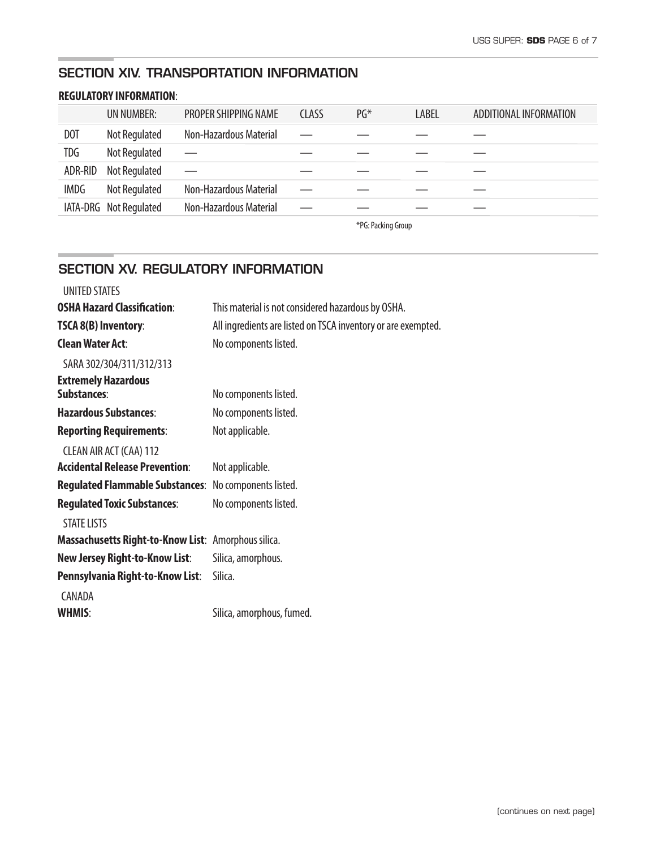## SECTION XIV. TRANSPORTATION INFORMATION

#### **REGULATORY INFORMATION**:

|                  | UN NUMBER:             | <b>PROPER SHIPPING NAME</b>   | <b>CLASS</b> | $PG*$ | LABEL | ADDITIONAL INFORMATION |
|------------------|------------------------|-------------------------------|--------------|-------|-------|------------------------|
| D <sub>O</sub> T | Not Regulated          | <b>Non-Hazardous Material</b> |              |       |       |                        |
| <b>TDG</b>       | Not Regulated          |                               |              |       |       |                        |
| ADR-RID          | Not Regulated          |                               |              |       |       |                        |
| <b>IMDG</b>      | Not Regulated          | <b>Non-Hazardous Material</b> |              |       |       |                        |
|                  | IATA-DRG Not Regulated | <b>Non-Hazardous Material</b> |              |       |       |                        |

\*PG: Packing Group

### SECTION XV. REGULATORY INFORMATION

| <b>UNITED STATES</b>                                |                                                               |
|-----------------------------------------------------|---------------------------------------------------------------|
| <b>OSHA Hazard Classification:</b>                  | This material is not considered hazardous by OSHA.            |
| <b>TSCA 8(B) Inventory:</b>                         | All ingredients are listed on TSCA inventory or are exempted. |
| <b>Clean Water Act:</b>                             | No components listed.                                         |
| SARA 302/304/311/312/313                            |                                                               |
| <b>Extremely Hazardous</b>                          |                                                               |
| Substances:                                         | No components listed.                                         |
| <b>Hazardous Substances:</b>                        | No components listed.                                         |
| <b>Reporting Requirements:</b>                      | Not applicable.                                               |
| CLEAN AIR ACT (CAA) 112                             |                                                               |
| <b>Accidental Release Prevention:</b>               | Not applicable.                                               |
| <b>Regulated Flammable Substances:</b>              | No components listed.                                         |
| <b>Regulated Toxic Substances:</b>                  | No components listed.                                         |
| <b>STATE LISTS</b>                                  |                                                               |
| Massachusetts Right-to-Know List: Amorphous silica. |                                                               |
| <b>New Jersey Right-to-Know List:</b>               | Silica, amorphous.                                            |
| Pennsylvania Right-to-Know List:                    | Silica.                                                       |
| CANADA                                              |                                                               |
| <b>WHMIS:</b>                                       | Silica, amorphous, fumed.                                     |
|                                                     |                                                               |